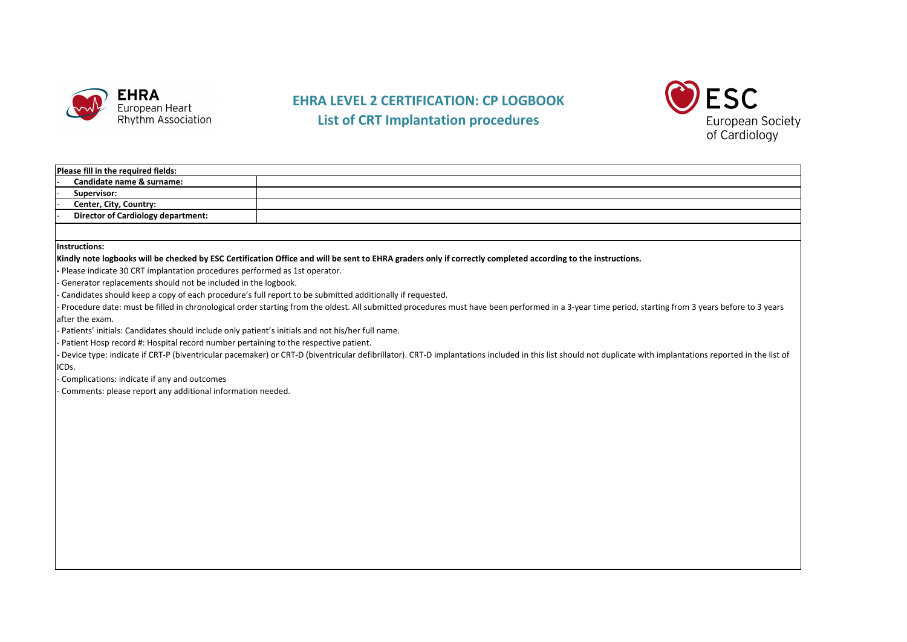

## **EHRA LEVEL 2 CERTIFICATION: CP LOGBOOK List of CRT Implantation procedures**



| Please fill in the required fields:                                                                                                                                                                                                                                                                            |                                                                                                                                                                                                            |  |  |  |  |  |  |
|----------------------------------------------------------------------------------------------------------------------------------------------------------------------------------------------------------------------------------------------------------------------------------------------------------------|------------------------------------------------------------------------------------------------------------------------------------------------------------------------------------------------------------|--|--|--|--|--|--|
| Candidate name & surname:                                                                                                                                                                                                                                                                                      |                                                                                                                                                                                                            |  |  |  |  |  |  |
| Supervisor:                                                                                                                                                                                                                                                                                                    |                                                                                                                                                                                                            |  |  |  |  |  |  |
| Center, City, Country:                                                                                                                                                                                                                                                                                         |                                                                                                                                                                                                            |  |  |  |  |  |  |
| <b>Director of Cardiology department:</b>                                                                                                                                                                                                                                                                      |                                                                                                                                                                                                            |  |  |  |  |  |  |
|                                                                                                                                                                                                                                                                                                                |                                                                                                                                                                                                            |  |  |  |  |  |  |
| Instructions:                                                                                                                                                                                                                                                                                                  |                                                                                                                                                                                                            |  |  |  |  |  |  |
|                                                                                                                                                                                                                                                                                                                | Kindly note logbooks will be checked by ESC Certification Office and will be sent to EHRA graders only if correctly completed according to the instructions.                                               |  |  |  |  |  |  |
| - Please indicate 30 CRT implantation procedures performed as 1st operator.                                                                                                                                                                                                                                    |                                                                                                                                                                                                            |  |  |  |  |  |  |
| Generator replacements should not be included in the logbook.                                                                                                                                                                                                                                                  |                                                                                                                                                                                                            |  |  |  |  |  |  |
|                                                                                                                                                                                                                                                                                                                |                                                                                                                                                                                                            |  |  |  |  |  |  |
| Candidates should keep a copy of each procedure's full report to be submitted additionally if requested.<br>Procedure date: must be filled in chronological order starting from the oldest. All submitted procedures must have been performed in a 3-year time period, starting from 3 years before to 3 years |                                                                                                                                                                                                            |  |  |  |  |  |  |
| after the exam.                                                                                                                                                                                                                                                                                                |                                                                                                                                                                                                            |  |  |  |  |  |  |
| . Patients' initials: Candidates should include only patient's initials and not his/her full name.                                                                                                                                                                                                             |                                                                                                                                                                                                            |  |  |  |  |  |  |
| Patient Hosp record #: Hospital record number pertaining to the respective patient.                                                                                                                                                                                                                            |                                                                                                                                                                                                            |  |  |  |  |  |  |
|                                                                                                                                                                                                                                                                                                                | Device type: indicate if CRT-P (biventricular pacemaker) or CRT-D (biventricular defibrillator). CRT-D implantations included in this list should not duplicate with implantations reported in the list of |  |  |  |  |  |  |
| ICDs.                                                                                                                                                                                                                                                                                                          |                                                                                                                                                                                                            |  |  |  |  |  |  |
|                                                                                                                                                                                                                                                                                                                |                                                                                                                                                                                                            |  |  |  |  |  |  |
| Complications: indicate if any and outcomes                                                                                                                                                                                                                                                                    |                                                                                                                                                                                                            |  |  |  |  |  |  |
| Comments: please report any additional information needed.                                                                                                                                                                                                                                                     |                                                                                                                                                                                                            |  |  |  |  |  |  |
|                                                                                                                                                                                                                                                                                                                |                                                                                                                                                                                                            |  |  |  |  |  |  |
|                                                                                                                                                                                                                                                                                                                |                                                                                                                                                                                                            |  |  |  |  |  |  |
|                                                                                                                                                                                                                                                                                                                |                                                                                                                                                                                                            |  |  |  |  |  |  |
|                                                                                                                                                                                                                                                                                                                |                                                                                                                                                                                                            |  |  |  |  |  |  |
|                                                                                                                                                                                                                                                                                                                |                                                                                                                                                                                                            |  |  |  |  |  |  |
|                                                                                                                                                                                                                                                                                                                |                                                                                                                                                                                                            |  |  |  |  |  |  |
|                                                                                                                                                                                                                                                                                                                |                                                                                                                                                                                                            |  |  |  |  |  |  |
|                                                                                                                                                                                                                                                                                                                |                                                                                                                                                                                                            |  |  |  |  |  |  |
|                                                                                                                                                                                                                                                                                                                |                                                                                                                                                                                                            |  |  |  |  |  |  |
|                                                                                                                                                                                                                                                                                                                |                                                                                                                                                                                                            |  |  |  |  |  |  |